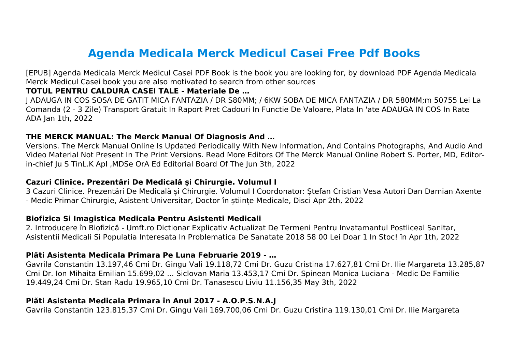# **Agenda Medicala Merck Medicul Casei Free Pdf Books**

[EPUB] Agenda Medicala Merck Medicul Casei PDF Book is the book you are looking for, by download PDF Agenda Medicala Merck Medicul Casei book you are also motivated to search from other sources

#### **TOTUL PENTRU CALDURA CASEI TALE - Materiale De …**

J ADAUGA IN COS SOSA DE GATIT MICA FANTAZIA / DR S80MM; / 6KW SOBA DE MICA FANTAZIA / DR 580MM;m 50755 Lei La Comanda (2 - 3 Zile) Transport Gratuit In Raport Pret Cadouri In Functie De Valoare, Plata In 'ate ADAUGA IN COS In Rate ADA Jan 1th, 2022

#### **THE MERCK MANUAL: The Merck Manual Of Diagnosis And …**

Versions. The Merck Manual Online Is Updated Periodically With New Information, And Contains Photographs, And Audio And Video Material Not Present In The Print Versions. Read More Editors Of The Merck Manual Online Robert S. Porter, MD, Editorin-chief Ju S TinL.K Apl ,MDSe OrA Ed Editorial Board Of The Jun 3th, 2022

#### **Cazuri Clinice. Prezentări De Medicală și Chirurgie. Volumul I**

3 Cazuri Clinice. Prezentări De Medicală și Chirurgie. Volumul I Coordonator: Ștefan Cristian Vesa Autori Dan Damian Axente - Medic Primar Chirurgie, Asistent Universitar, Doctor în științe Medicale, Disci Apr 2th, 2022

#### **Biofizica Si Imagistica Medicala Pentru Asistenti Medicali**

2. Introducere în Biofizică - Umft.ro Dictionar Explicativ Actualizat De Termeni Pentru Invatamantul Postliceal Sanitar, Asistentii Medicali Si Populatia Interesata In Problematica De Sanatate 2018 58 00 Lei Doar 1 In Stoc! în Apr 1th, 2022

#### **Plăti Asistenta Medicala Primara Pe Luna Februarie 2019 - …**

Gavrila Constantin 13.197,46 Cmi Dr. Gingu Vali 19.118,72 Cmi Dr. Guzu Cristina 17.627,81 Cmi Dr. Ilie Margareta 13.285,87 Cmi Dr. Ion Mihaita Emilian 15.699,02 ... Siclovan Maria 13.453,17 Cmi Dr. Spinean Monica Luciana - Medic De Familie 19.449,24 Cmi Dr. Stan Radu 19.965,10 Cmi Dr. Tanasescu Liviu 11.156,35 May 3th, 2022

#### **Plăti Asistenta Medicala Primara în Anul 2017 - A.O.P.S.N.A.J**

Gavrila Constantin 123.815,37 Cmi Dr. Gingu Vali 169.700,06 Cmi Dr. Guzu Cristina 119.130,01 Cmi Dr. Ilie Margareta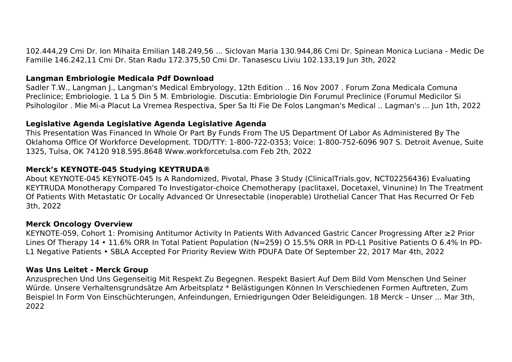102.444,29 Cmi Dr. Ion Mihaita Emilian 148.249,56 ... Siclovan Maria 130.944,86 Cmi Dr. Spinean Monica Luciana - Medic De Familie 146.242,11 Cmi Dr. Stan Radu 172.375,50 Cmi Dr. Tanasescu Liviu 102.133,19 Jun 3th, 2022

#### **Langman Embriologie Medicala Pdf Download**

Sadler T.W., Langman J., Langman's Medical Embryology, 12th Edition .. 16 Nov 2007 . Forum Zona Medicala Comuna Preclinice; Embriologie. 1 La 5 Din 5 M. Embriologie. Discutia: Embriologie Din Forumul Preclinice (Forumul Medicilor Si Psihologilor . Mie Mi-a Placut La Vremea Respectiva, Sper Sa Iti Fie De Folos Langman's Medical .. Lagman's ... Jun 1th, 2022

## **Legislative Agenda Legislative Agenda Legislative Agenda**

This Presentation Was Financed In Whole Or Part By Funds From The US Department Of Labor As Administered By The Oklahoma Office Of Workforce Development. TDD/TTY: 1-800-722-0353; Voice: 1-800-752-6096 907 S. Detroit Avenue, Suite 1325, Tulsa, OK 74120 918.595.8648 Www.workforcetulsa.com Feb 2th, 2022

## **Merck's KEYNOTE-045 Studying KEYTRUDA®**

About KEYNOTE-045 KEYNOTE-045 Is A Randomized, Pivotal, Phase 3 Study (ClinicalTrials.gov, NCT02256436) Evaluating KEYTRUDA Monotherapy Compared To Investigator-choice Chemotherapy (paclitaxel, Docetaxel, Vinunine) In The Treatment Of Patients With Metastatic Or Locally Advanced Or Unresectable (inoperable) Urothelial Cancer That Has Recurred Or Feb 3th, 2022

## **Merck Oncology Overview**

KEYNOTE-059, Cohort 1: Promising Antitumor Activity In Patients With Advanced Gastric Cancer Progressing After ≥2 Prior Lines Of Therapy 14 • 11.6% ORR In Total Patient Population (N=259) O 15.5% ORR In PD-L1 Positive Patients O 6.4% In PD-L1 Negative Patients • SBLA Accepted For Priority Review With PDUFA Date Of September 22, 2017 Mar 4th, 2022

## **Was Uns Leitet - Merck Group**

Anzusprechen Und Uns Gegenseitig Mit Respekt Zu Begegnen. Respekt Basiert Auf Dem Bild Vom Menschen Und Seiner Würde. Unsere Verhaltensgrundsätze Am Arbeitsplatz \* Belästigungen Können In Verschiedenen Formen Auftreten, Zum Beispiel In Form Von Einschüchterungen, Anfeindungen, Erniedrigungen Oder Beleidigungen. 18 Merck – Unser ... Mar 3th, 2022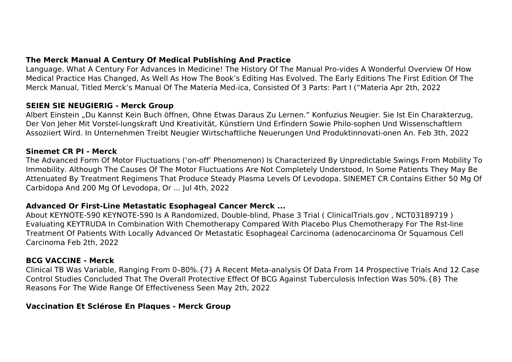Language. What A Century For Advances In Medicine! The History Of The Manual Pro-vides A Wonderful Overview Of How Medical Practice Has Changed, As Well As How The Book's Editing Has Evolved. The Early Editions The First Edition Of The Merck Manual, Titled Merck's Manual Of The Materia Med-ica, Consisted Of 3 Parts: Part I ("Materia Apr 2th, 2022

## **SEIEN SIE NEUGIERIG - Merck Group**

Albert Einstein "Du Kannst Kein Buch öffnen, Ohne Etwas Daraus Zu Lernen." Konfuzius Neugier. Sie Ist Ein Charakterzug, Der Von Jeher Mit Vorstel-lungskraft Und Kreativität, Künstlern Und Erfindern Sowie Philo-sophen Und Wissenschaftlern Assoziiert Wird. In Unternehmen Treibt Neugier Wirtschaftliche Neuerungen Und Produktinnovati-onen An. Feb 3th, 2022

#### **Sinemet CR PI - Merck**

The Advanced Form Of Motor Fluctuations ('on-off' Phenomenon) Is Characterized By Unpredictable Swings From Mobility To Immobility. Although The Causes Of The Motor Fluctuations Are Not Completely Understood, In Some Patients They May Be Attenuated By Treatment Regimens That Produce Steady Plasma Levels Of Levodopa. SINEMET CR Contains Either 50 Mg Of Carbidopa And 200 Mg Of Levodopa, Or ... Jul 4th, 2022

## **Advanced Or First-Line Metastatic Esophageal Cancer Merck ...**

About KEYNOTE-590 KEYNOTE-590 Is A Randomized, Double-blind, Phase 3 Trial ( ClinicalTrials.gov , NCT03189719 ) Evaluating KEYTRUDA In Combination With Chemotherapy Compared With Placebo Plus Chemotherapy For The Rst-line Treatment Of Patients With Locally Advanced Or Metastatic Esophageal Carcinoma (adenocarcinoma Or Squamous Cell Carcinoma Feb 2th, 2022

## **BCG VACCINE - Merck**

Clinical TB Was Variable, Ranging From 0–80%.{7} A Recent Meta-analysis Of Data From 14 Prospective Trials And 12 Case Control Studies Concluded That The Overall Protective Effect Of BCG Against Tuberculosis Infection Was 50%.{8} The Reasons For The Wide Range Of Effectiveness Seen May 2th, 2022

## **Vaccination Et Sclérose En Plaques - Merck Group**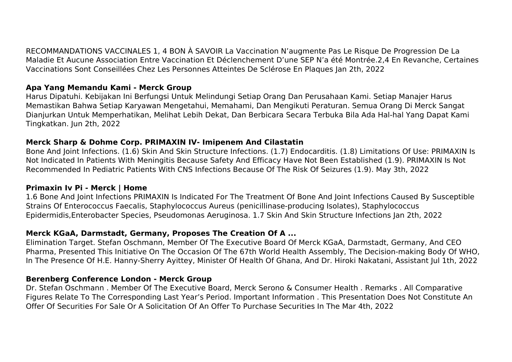RECOMMANDATIONS VACCINALES 1, 4 BON À SAVOIR La Vaccination N'augmente Pas Le Risque De Progression De La Maladie Et Aucune Association Entre Vaccination Et Déclenchement D'une SEP N'a été Montrée.2,4 En Revanche, Certaines Vaccinations Sont Conseillées Chez Les Personnes Atteintes De Sclérose En Plaques Jan 2th, 2022

## **Apa Yang Memandu Kami - Merck Group**

Harus Dipatuhi. Kebijakan Ini Berfungsi Untuk Melindungi Setiap Orang Dan Perusahaan Kami. Setiap Manajer Harus Memastikan Bahwa Setiap Karyawan Mengetahui, Memahami, Dan Mengikuti Peraturan. Semua Orang Di Merck Sangat Dianjurkan Untuk Memperhatikan, Melihat Lebih Dekat, Dan Berbicara Secara Terbuka Bila Ada Hal-hal Yang Dapat Kami Tingkatkan. Jun 2th, 2022

## **Merck Sharp & Dohme Corp. PRIMAXIN IV- Imipenem And Cilastatin**

Bone And Joint Infections. (1.6) Skin And Skin Structure Infections. (1.7) Endocarditis. (1.8) Limitations Of Use: PRIMAXIN Is Not Indicated In Patients With Meningitis Because Safety And Efficacy Have Not Been Established (1.9). PRIMAXIN Is Not Recommended In Pediatric Patients With CNS Infections Because Of The Risk Of Seizures (1.9). May 3th, 2022

## **Primaxin Iv Pi - Merck | Home**

1.6 Bone And Joint Infections PRIMAXIN Is Indicated For The Treatment Of Bone And Joint Infections Caused By Susceptible Strains Of Enterococcus Faecalis, Staphylococcus Aureus (penicillinase-producing Isolates), Staphylococcus Epidermidis,Enterobacter Species, Pseudomonas Aeruginosa. 1.7 Skin And Skin Structure Infections Jan 2th, 2022

# **Merck KGaA, Darmstadt, Germany, Proposes The Creation Of A ...**

Elimination Target. Stefan Oschmann, Member Of The Executive Board Of Merck KGaA, Darmstadt, Germany, And CEO Pharma, Presented This Initiative On The Occasion Of The 67th World Health Assembly, The Decision-making Body Of WHO, In The Presence Of H.E. Hanny-Sherry Ayittey, Minister Of Health Of Ghana, And Dr. Hiroki Nakatani, Assistant Jul 1th, 2022

## **Berenberg Conference London - Merck Group**

Dr. Stefan Oschmann . Member Of The Executive Board, Merck Serono & Consumer Health . Remarks . All Comparative Figures Relate To The Corresponding Last Year's Period. Important Information . This Presentation Does Not Constitute An Offer Of Securities For Sale Or A Solicitation Of An Offer To Purchase Securities In The Mar 4th, 2022